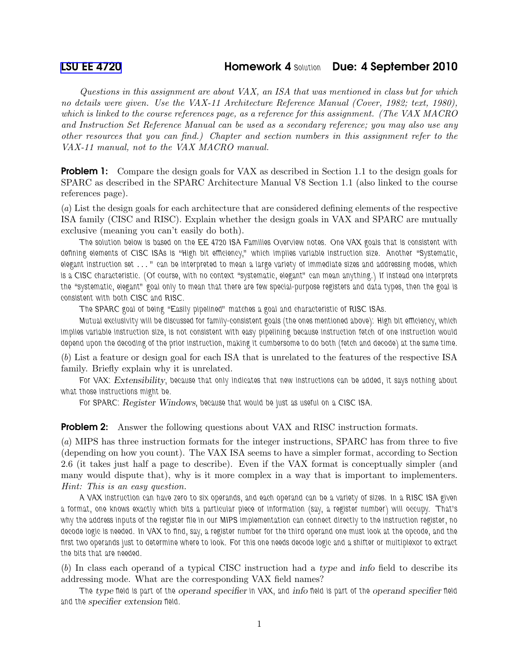## [LSU EE 4720](http://www.ece.lsu.edu/ee4720/) **Homework 4 Solution Due: 4 September 2010**

Questions in this assignment are about VAX, an ISA that was mentioned in class but for which no details were given. Use the VAX-11 Architecture Reference Manual (Cover, 1982; text, 1980), which is linked to the course references page, as a reference for this assignment. (The VAX MACRO and Instruction Set Reference Manual can be used as a secondary reference; you may also use any other resources that you can find.) Chapter and section numbers in this assignment refer to the VAX-11 manual, not to the VAX MACRO manual.

**Problem 1:** Compare the design goals for VAX as described in Section 1.1 to the design goals for SPARC as described in the SPARC Architecture Manual V8 Section 1.1 (also linked to the course references page).

(a) List the design goals for each architecture that are considered defining elements of the respective ISA family (CISC and RISC). Explain whether the design goals in VAX and SPARC are mutually exclusive (meaning you can't easily do both).

The solution below is based on the EE 4720 ISA Families Overview notes. One VAX goals that is consistent with defining elements of CISC ISAs is "High bit efficiency," which implies variable instruction size. Another "Systematic, elegant instruction set . . . " can be interpreted to mean a large variety of immediate sizes and addressing modes, which is a CISC characteristic. (Of course, with no context "systematic, elegant" can mean anything.) If instead one interprets the "systematic, elegant" goal only to mean that there are few special-purpose registers and data types, then the goal is consistent with both CISC and RISC.

The SPARC goal of being "Easily pipelined" matches a goal and characteristic of RISC ISAs.

Mutual exclusivity will be discussed for family-consistent goals (the ones mentioned above): High bit efficiency, which implies variable instruction size, is not consistent with easy pipelining because instruction fetch of one instruction would depend upon the decoding of the prior instruction, making it cumbersome to do both (fetch and decode) at the same time.

(b) List a feature or design goal for each ISA that is unrelated to the features of the respective ISA family. Briefly explain why it is unrelated.

For VAX: Extensibility, because that only indicates that new instructions can be added, it says nothing about what those instructions might be.

For SPARC: *Register Windows*, because that would be just as useful on a CISC ISA.

**Problem 2:** Answer the following questions about VAX and RISC instruction formats.

(a) MIPS has three instruction formats for the integer instructions, SPARC has from three to five (depending on how you count). The VAX ISA seems to have a simpler format, according to Section 2.6 (it takes just half a page to describe). Even if the VAX format is conceptually simpler (and many would dispute that), why is it more complex in a way that is important to implementers. Hint: This is an easy question.

A VAX instruction can have zero to six operands, and each operand can be a variety of sizes. In a RISC ISA given a format, one knows exactly which bits a particular piece of information (say, a register number) will occupy. That's why the address inputs of the register file in our MIPS implementation can connect directly to the instruction register, no decode logic is needed. In VAX to find, say, a register number for the third operand one must look at the opcode, and the first two operands just to determine where to look. For this one needs decode logic and a shifter or multiplexor to extract the bits that are needed.

(b) In class each operand of a typical CISC instruction had a type and info field to describe its addressing mode. What are the corresponding VAX field names?

The type field is part of the operand specifier in VAX, and info field is part of the operand specifier field and the specifier extension field.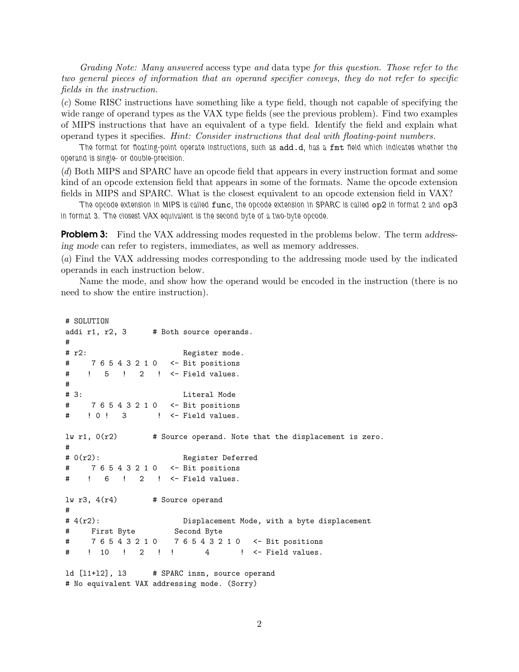Grading Note: Many answered access type and data type for this question. Those refer to the two general pieces of information that an operand specifier conveys, they do not refer to specific fields in the instruction.

(c) Some RISC instructions have something like a type field, though not capable of specifying the wide range of operand types as the VAX type fields (see the previous problem). Find two examples of MIPS instructions that have an equivalent of a type field. Identify the field and explain what operand types it specifies. Hint: Consider instructions that deal with floating-point numbers.

The format for floating-point operate instructions, such as add.d, has a fmt field which indicates whether the operand is single- or double-precision.

(d) Both MIPS and SPARC have an opcode field that appears in every instruction format and some kind of an opcode extension field that appears in some of the formats. Name the opcode extension fields in MIPS and SPARC. What is the closest equivalent to an opcode extension field in VAX?

The opcode extension in MIPS is called func, the opcode extension in SPARC is called op2 in format 2 and op3 in format 3. The closest VAX equivalent is the second byte of a two-byte opcode.

**Problem 3:** Find the VAX addressing modes requested in the problems below. The term addressing mode can refer to registers, immediates, as well as memory addresses.

(a) Find the VAX addressing modes corresponding to the addressing mode used by the indicated operands in each instruction below.

Name the mode, and show how the operand would be encoded in the instruction (there is no need to show the entire instruction).

```
# SOLUTION
addi r1, r2, 3 # Both source operands.
#
# r2: Register mode.
# 7 6 5 4 3 2 1 0 <- Bit positions
# ! 5 ! 2 ! <- Field values.
#
# 3: Literal Mode
# 7 6 5 4 3 2 1 0 <- Bit positions
# ! 0 ! 3 ! <- Field values.
\exists w \text{ r1, } 0(\text{r2}) # Source operand. Note that the displacement is zero.
#
# 0(r2): Register Deferred
# 7 6 5 4 3 2 1 0 <- Bit positions
# ! 6 ! 2 ! <- Field values.
lw r3, 4(r4) # Source operand
#
# 4(r2): Displacement Mode, with a byte displacement
# First Byte Second Byte
# 7 6 5 4 3 2 1 0 7 6 5 4 3 2 1 0 <- Bit positions
# ! 10 ! 2 ! ! 4 ! <- Field values.
ld [l1+l2], l3 # SPARC insn, source operand
# No equivalent VAX addressing mode. (Sorry)
```